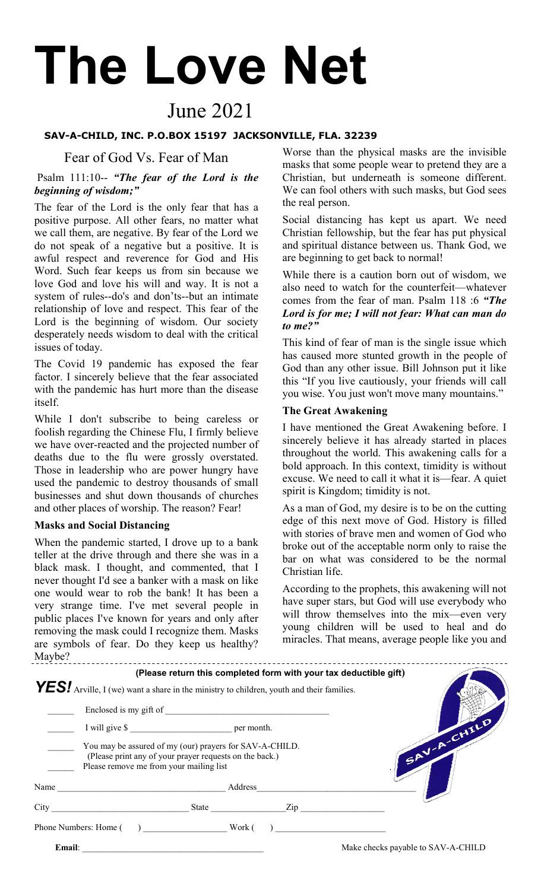# **The Love Net**

# June 2021

#### **SAV-A-CHILD, INC. P.O.BOX 15197 JACKSONVILLE, FLA. 32239**

#### Fear of God Vs. Fear of Man

### Psalm 111:10-- *"The fear of the Lord is the beginning of wisdom;"*

The fear of the Lord is the only fear that has a positive purpose. All other fears, no matter what we call them, are negative. By fear of the Lord we do not speak of a negative but a positive. It is awful respect and reverence for God and His Word. Such fear keeps us from sin because we love God and love his will and way. It is not a system of rules--do's and don'ts--but an intimate relationship of love and respect. This fear of the Lord is the beginning of wisdom. Our society desperately needs wisdom to deal with the critical issues of today.

The Covid 19 pandemic has exposed the fear factor. I sincerely believe that the fear associated with the pandemic has hurt more than the disease itself.

While I don't subscribe to being careless or foolish regarding the Chinese Flu, I firmly believe we have over-reacted and the projected number of deaths due to the flu were grossly overstated. Those in leadership who are power hungry have used the pandemic to destroy thousands of small businesses and shut down thousands of churches and other places of worship. The reason? Fear!

### **Masks and Social Distancing**

When the pandemic started, I drove up to a bank teller at the drive through and there she was in a black mask. I thought, and commented, that I never thought I'd see a banker with a mask on like one would wear to rob the bank! It has been a very strange time. I've met several people in public places I've known for years and only after removing the mask could I recognize them. Masks are symbols of fear. Do they keep us healthy? Maybe?

Worse than the physical masks are the invisible masks that some people wear to pretend they are a Christian, but underneath is someone different. We can fool others with such masks, but God sees the real person.

Social distancing has kept us apart. We need Christian fellowship, but the fear has put physical and spiritual distance between us. Thank God, we are beginning to get back to normal!

While there is a caution born out of wisdom, we also need to watch for the counterfeit—whatever comes from the fear of man. Psalm 118 :6 *"The Lord is for me; I will not fear: What can man do to me?"*

This kind of fear of man is the single issue which has caused more stunted growth in the people of God than any other issue. Bill Johnson put it like this "If you live cautiously, your friends will call you wise. You just won't move many mountains."

#### **The Great Awakening**

I have mentioned the Great Awakening before. I sincerely believe it has already started in places throughout the world. This awakening calls for a bold approach. In this context, timidity is without excuse. We need to call it what it is—fear. A quiet spirit is Kingdom; timidity is not.

As a man of God, my desire is to be on the cutting edge of this next move of God. History is filled with stories of brave men and women of God who broke out of the acceptable norm only to raise the bar on what was considered to be the normal Christian life.

According to the prophets, this awakening will not have super stars, but God will use everybody who will throw themselves into the mix—even very young children will be used to heal and do miracles. That means, average people like you and

|        | <b>YES!</b> Arville, I (we) want a share in the ministry to children, youth and their families.                                                               |  | (Please return this completed form with your tax deductible gift) |  |                                    |
|--------|---------------------------------------------------------------------------------------------------------------------------------------------------------------|--|-------------------------------------------------------------------|--|------------------------------------|
|        |                                                                                                                                                               |  |                                                                   |  |                                    |
|        | I will give \$                                                                                                                                                |  |                                                                   |  |                                    |
|        | You may be assured of my (our) prayers for SAV-A-CHILD.<br>(Please print any of your prayer requests on the back.)<br>Please remove me from your mailing list |  |                                                                   |  | SAV-A-CHILD                        |
| Name   | Address<br><u> 1990 - Johann Barbara, martin a</u>                                                                                                            |  |                                                                   |  |                                    |
|        | City                                                                                                                                                          |  | State Zip                                                         |  |                                    |
|        | Phone Numbers: Home ( ) Work ( )                                                                                                                              |  |                                                                   |  |                                    |
| Email: |                                                                                                                                                               |  |                                                                   |  | Make checks payable to SAV-A-CHILD |